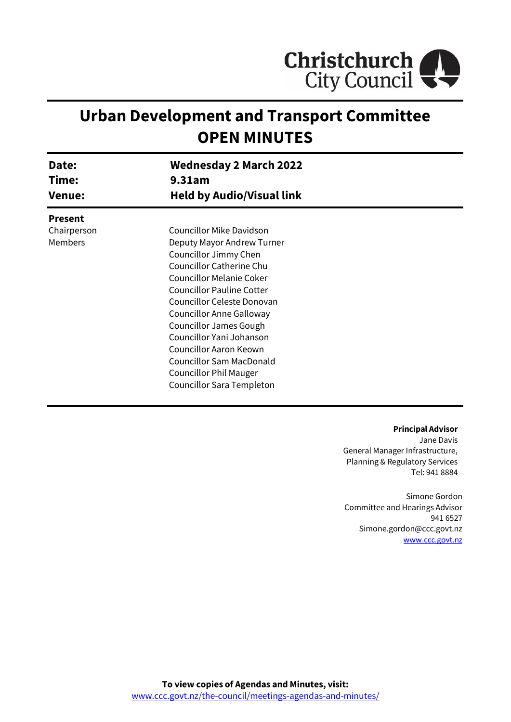

# **Urban Development and Transport Committee OPEN MINUTES**

| Date:<br>Time:<br><b>Venue:</b> | <b>Wednesday 2 March 2022</b><br>9.31am<br><b>Held by Audio/Visual link</b> |  |
|---------------------------------|-----------------------------------------------------------------------------|--|
|                                 |                                                                             |  |
|                                 |                                                                             |  |
| <b>Present</b>                  |                                                                             |  |
| Chairperson                     | <b>Councillor Mike Davidson</b>                                             |  |
| Members                         | Deputy Mayor Andrew Turner                                                  |  |
|                                 | Councillor Jimmy Chen                                                       |  |
|                                 | <b>Councillor Catherine Chu</b>                                             |  |
|                                 | <b>Councillor Melanie Coker</b>                                             |  |
|                                 | <b>Councillor Pauline Cotter</b>                                            |  |
|                                 | Councillor Celeste Donovan                                                  |  |
|                                 | Councillor Anne Galloway                                                    |  |
|                                 | <b>Councillor James Gough</b>                                               |  |
|                                 | Councillor Yani Johanson                                                    |  |
|                                 | Councillor Aaron Keown                                                      |  |
|                                 | <b>Councillor Sam MacDonald</b>                                             |  |
|                                 | <b>Councillor Phil Mauger</b>                                               |  |
|                                 | Councillor Sara Templeton                                                   |  |

#### **Principal Advisor**

Jane Davis General Manager Infrastructure, Planning & Regulatory Services Tel: 941 8884

Simone Gordon Committee and Hearings Advisor 941 6527 Simone.gordon@ccc.govt.nz [www.ccc.govt.nz](http://www.ccc.govt.nz/)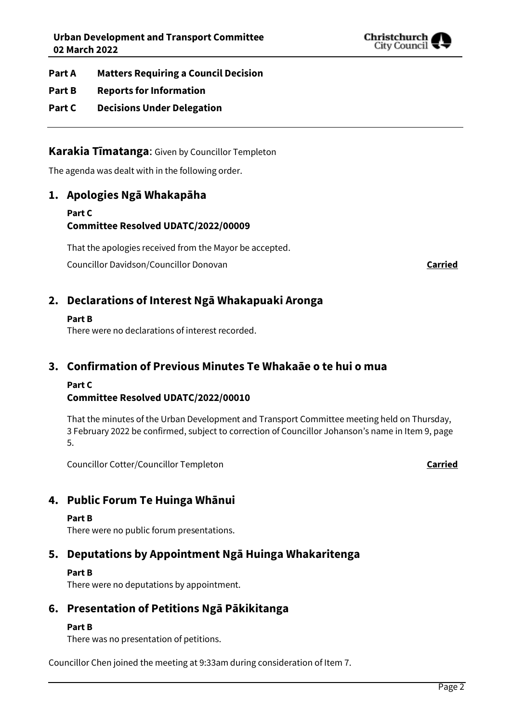

**Part A Matters Requiring a Council Decision**

- **Part B Reports for Information**
- **Part C Decisions Under Delegation**

**Karakia Tīmatanga**: Given by Councillor Templeton

The agenda was dealt with in the following order.

## **1. Apologies Ngā Whakapāha**

**Part C Committee Resolved UDATC/2022/00009**

That the apologies received from the Mayor be accepted.

Councillor Davidson/Councillor Donovan **Carried**

## **2. Declarations of Interest Ngā Whakapuaki Aronga**

#### **Part B**

There were no declarations of interest recorded.

## **3. Confirmation of Previous Minutes Te Whakaāe o te hui o mua**

#### **Part C**

#### **Committee Resolved UDATC/2022/00010**

That the minutes of the Urban Development and Transport Committee meeting held on Thursday, 3 February 2022 be confirmed, subject to correction of Councillor Johanson's name in Item 9, page 5.

Councillor Cotter/Councillor Templeton **Carried**

## **4. Public Forum Te Huinga Whānui**

#### **Part B**

There were no public forum presentations.

## **5. Deputations by Appointment Ngā Huinga Whakaritenga**

#### **Part B**

There were no deputations by appointment.

## **6. Presentation of Petitions Ngā Pākikitanga**

#### **Part B**

There was no presentation of petitions.

Councillor Chen joined the meeting at 9:33am during consideration of Item 7.